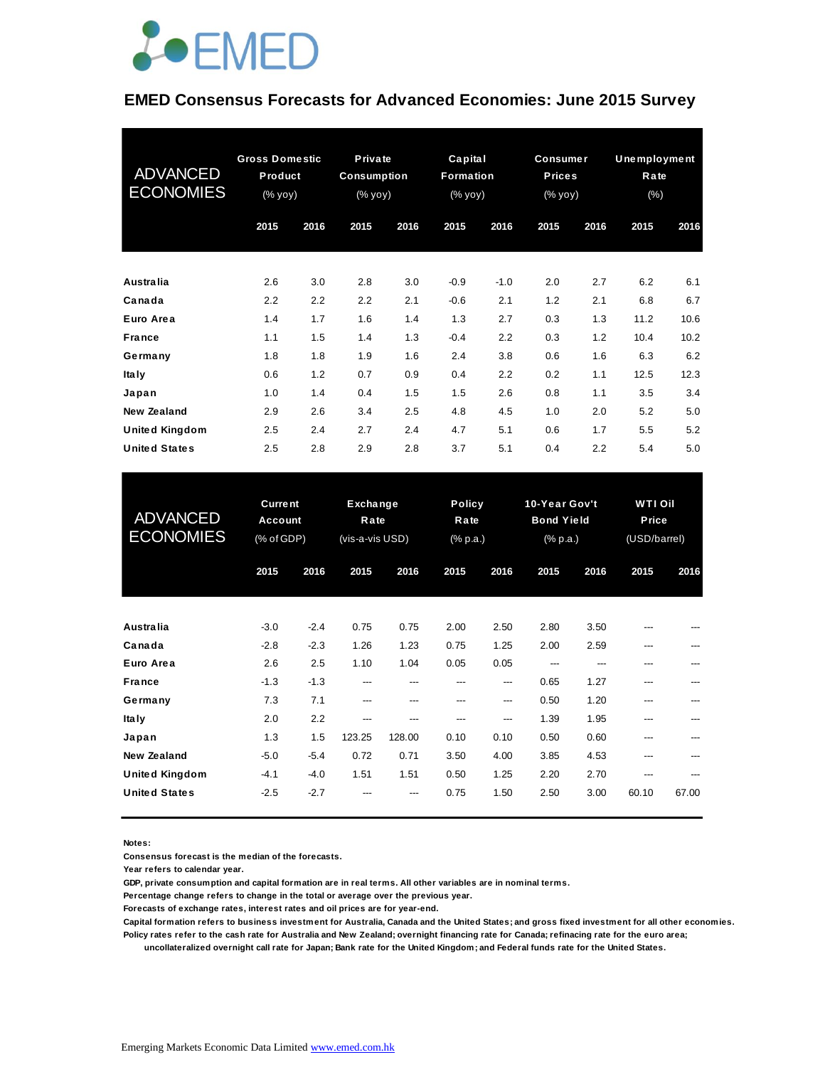

#### **EMED Consensus Forecasts for Advanced Economies: June 2015 Survey**

| <b>ADVANCED</b><br><b>ECONOMIES</b> | <b>Gross Domestic</b><br>Product<br>(% yoy) |      | Private<br><b>Consumption</b><br>(% yoy) |      | Capital<br>Formation<br>$(\%$ yoy) |        | <b>Consumer</b><br><b>Prices</b><br>(% yoy) |      | Unemployment<br>Rate<br>$(\% )$ |      |
|-------------------------------------|---------------------------------------------|------|------------------------------------------|------|------------------------------------|--------|---------------------------------------------|------|---------------------------------|------|
|                                     | 2015                                        | 2016 | 2015                                     | 2016 | 2015                               | 2016   | 2015                                        | 2016 | 2015                            | 2016 |
| <b>Australia</b>                    | 2.6                                         | 3.0  | 2.8                                      | 3.0  | $-0.9$                             | $-1.0$ | 2.0                                         | 2.7  | 6.2                             | 6.1  |
| Canada                              | 2.2                                         | 2.2  | 2.2                                      | 2.1  | $-0.6$                             | 2.1    | 1.2                                         | 2.1  | 6.8                             | 6.7  |
| Euro Area                           | 1.4                                         | 1.7  | 1.6                                      | 1.4  | 1.3                                | 2.7    | 0.3                                         | 1.3  | 11.2                            | 10.6 |
| <b>France</b>                       | 1.1                                         | 1.5  | 1.4                                      | 1.3  | $-0.4$                             | 2.2    | 0.3                                         | 1.2  | 10.4                            | 10.2 |
| Germany                             | 1.8                                         | 1.8  | 1.9                                      | 1.6  | 2.4                                | 3.8    | 0.6                                         | 1.6  | 6.3                             | 6.2  |
| <b>Italy</b>                        | 0.6                                         | 1.2  | 0.7                                      | 0.9  | 0.4                                | 2.2    | 0.2                                         | 1.1  | 12.5                            | 12.3 |
| Japan                               | 1.0                                         | 1.4  | 0.4                                      | 1.5  | 1.5                                | 2.6    | 0.8                                         | 1.1  | 3.5                             | 3.4  |
| New Zealand                         | 2.9                                         | 2.6  | 3.4                                      | 2.5  | 4.8                                | 4.5    | 1.0                                         | 2.0  | 5.2                             | 5.0  |
| <b>United Kingdom</b>               | 2.5                                         | 2.4  | 2.7                                      | 2.4  | 4.7                                | 5.1    | 0.6                                         | 1.7  | 5.5                             | 5.2  |
| <b>United States</b>                | 2.5                                         | 2.8  | 2.9                                      | 2.8  | 3.7                                | 5.1    | 0.4                                         | 2.2  | 5.4                             | 5.0  |

| <b>United States</b>                                                           | 2.5              | 2.8              | 2.9                                 | 2.8            | 3.7                        | 5.1            | 0.4                                            | 2.2          | 5.4                                     | 5.0   |
|--------------------------------------------------------------------------------|------------------|------------------|-------------------------------------|----------------|----------------------------|----------------|------------------------------------------------|--------------|-----------------------------------------|-------|
| <b>Current</b><br><b>ADVANCED</b><br>Account<br><b>ECONOMIES</b><br>(% of GDP) |                  |                  | Exchange<br>Rate<br>(vis-a-vis USD) |                | Policy<br>Rate<br>(% p.a.) |                | 10-Year Gov't<br><b>Bond Yield</b><br>(% p.a.) |              | <b>WTI Oil</b><br>Price<br>(USD/barrel) |       |
|                                                                                | 2015             | 2016             | 2015                                | 2016           | 2015                       | 2016           | 2015                                           | 2016         | 2015                                    | 2016  |
| <b>Australia</b>                                                               | $-3.0$           | $-2.4$           | 0.75                                | 0.75           | 2.00                       | 2.50           | 2.80                                           | 3.50         |                                         |       |
| Canada<br>Euro Area                                                            | $-2.8$<br>2.6    | $-2.3$<br>2.5    | 1.26<br>1.10                        | 1.23<br>1.04   | 0.75<br>0.05               | 1.25<br>0.05   | 2.00<br>---                                    | 2.59<br>---  | ---                                     |       |
| <b>France</b>                                                                  | $-1.3$           | $-1.3$           | ---                                 | ---            | ---                        | $---$          | 0.65                                           | 1.27         | ---                                     |       |
| Germany<br><b>Italy</b>                                                        | 7.3<br>2.0       | 7.1<br>2.2       | ---<br>---                          | ---<br>---     | ---<br>---                 | $---$<br>$---$ | 0.50<br>1.39                                   | 1.20<br>1.95 | ---<br>---                              | ---   |
| Japan<br>New Zealand                                                           | 1.3<br>$-5.0$    | 1.5<br>$-5.4$    | 123.25<br>0.72                      | 128.00<br>0.71 | 0.10<br>3.50               | 0.10<br>4.00   | 0.50<br>3.85                                   | 0.60<br>4.53 | ---<br>---                              |       |
| <b>United Kingdom</b><br><b>United States</b>                                  | $-4.1$<br>$-2.5$ | $-4.0$<br>$-2.7$ | 1.51                                | 1.51           | 0.50<br>0.75               | 1.25<br>1.50   | 2.20<br>2.50                                   | 2.70<br>3.00 | ---<br>60.10                            | 67.00 |
|                                                                                |                  |                  |                                     |                |                            |                |                                                |              |                                         |       |

**Notes:** 

**Consensus forecast is the median of the forecasts.**

**Year refers to calendar year.**

**GDP, private consumption and capital formation are in real terms. All other variables are in nominal terms.**

**Percentage change refers to change in the total or average over the previous year.**

**Forecasts of exchange rates, interest rates and oil prices are for year-end.**

**Capital formation refers to business investment for Australia, Canada and the United States; and gross fixed investment for all other economies. Policy rates refer to the cash rate for Australia and New Zealand; overnight financing rate for Canada; refinacing rate for the euro area;** 

 **uncollateralized overnight call rate for Japan; Bank rate for the United Kingdom; and Federal funds rate for the United States.**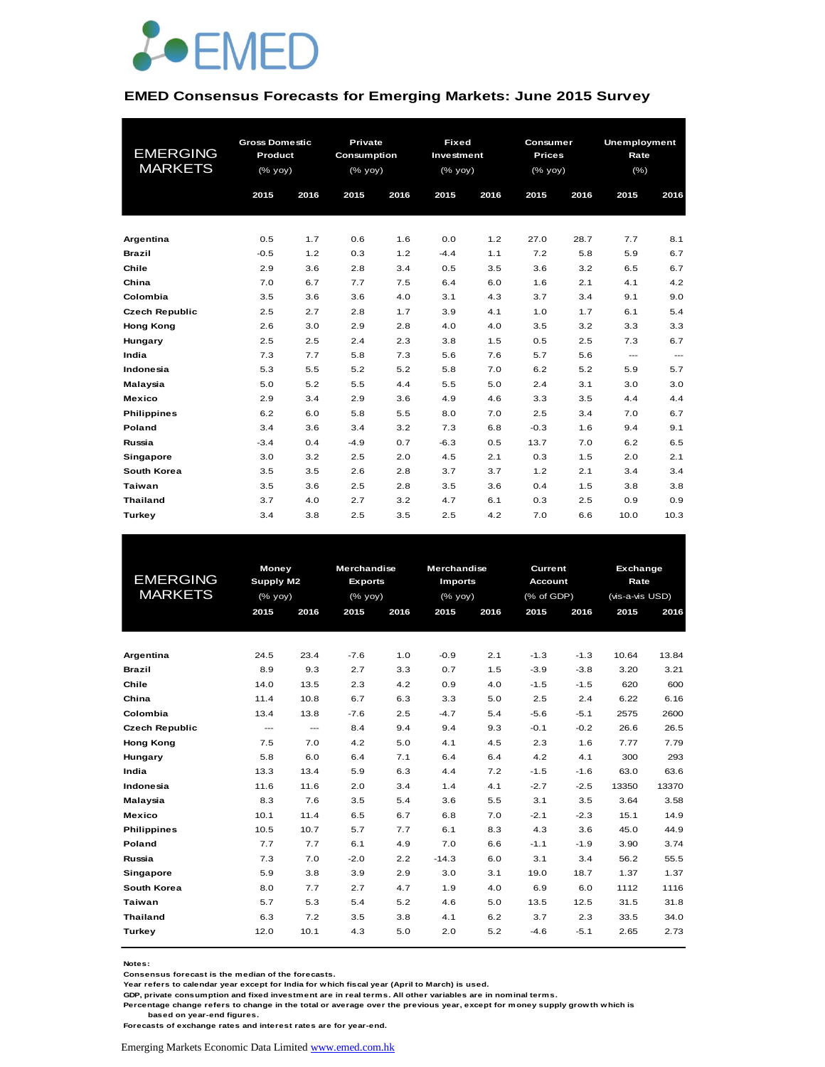

#### **EMED Consensus Forecasts for Emerging Markets: June 2015 Survey**

|                       | <b>Gross Domestic</b> |      | <b>Private</b> |      | <b>Fixed</b> |      | Consumer      |      | <b>Unemployment</b> |                          |
|-----------------------|-----------------------|------|----------------|------|--------------|------|---------------|------|---------------------|--------------------------|
| <b>EMERGING</b>       | Product               |      | Consumption    |      | Investment   |      | <b>Prices</b> |      | Rate                |                          |
| <b>MARKETS</b>        | (% yoy)               |      | $(%$ (% yoy)   |      | (% yoy)      |      | $(\%$ yoy)    |      | (% )                |                          |
|                       | 2015                  | 2016 | 2015           | 2016 | 2015         | 2016 | 2015          | 2016 | 2015                | 2016                     |
|                       |                       |      |                |      |              |      |               |      |                     |                          |
|                       |                       |      |                |      |              |      |               |      |                     |                          |
| Argentina             | 0.5                   | 1.7  | 0.6            | 1.6  | 0.0          | 1.2  | 27.0          | 28.7 | 7.7                 | 8.1                      |
| <b>Brazil</b>         | $-0.5$                | 1.2  | 0.3            | 1.2  | $-4.4$       | 1.1  | 7.2           | 5.8  | 5.9                 | 6.7                      |
| Chile                 | 2.9                   | 3.6  | 2.8            | 3.4  | 0.5          | 3.5  | 3.6           | 3.2  | 6.5                 | 6.7                      |
| China                 | 7.0                   | 6.7  | 7.7            | 7.5  | 6.4          | 6.0  | 1.6           | 2.1  | 4.1                 | 4.2                      |
| Colombia              | 3.5                   | 3.6  | 3.6            | 4.0  | 3.1          | 4.3  | 3.7           | 3.4  | 9.1                 | 9.0                      |
| <b>Czech Republic</b> | 2.5                   | 2.7  | 2.8            | 1.7  | 3.9          | 4.1  | 1.0           | 1.7  | 6.1                 | 5.4                      |
| <b>Hong Kong</b>      | 2.6                   | 3.0  | 2.9            | 2.8  | 4.0          | 4.0  | 3.5           | 3.2  | 3.3                 | 3.3                      |
| Hungary               | 2.5                   | 2.5  | 2.4            | 2.3  | 3.8          | 1.5  | 0.5           | 2.5  | 7.3                 | 6.7                      |
| India                 | 7.3                   | 7.7  | 5.8            | 7.3  | 5.6          | 7.6  | 5.7           | 5.6  | $\cdots$            | $\hspace{0.05cm} \ldots$ |
| Indonesia             | 5.3                   | 5.5  | 5.2            | 5.2  | 5.8          | 7.0  | 6.2           | 5.2  | 5.9                 | 5.7                      |
| Malaysia              | 5.0                   | 5.2  | 5.5            | 4.4  | 5.5          | 5.0  | 2.4           | 3.1  | 3.0                 | 3.0                      |
| <b>Mexico</b>         | 2.9                   | 3.4  | 2.9            | 3.6  | 4.9          | 4.6  | 3.3           | 3.5  | 4.4                 | 4.4                      |
| <b>Philippines</b>    | 6.2                   | 6.0  | 5.8            | 5.5  | 8.0          | 7.0  | 2.5           | 3.4  | 7.0                 | 6.7                      |
| Poland                | 3.4                   | 3.6  | 3.4            | 3.2  | 7.3          | 6.8  | $-0.3$        | 1.6  | 9.4                 | 9.1                      |
| Russia                | $-3.4$                | 0.4  | $-4.9$         | 0.7  | $-6.3$       | 0.5  | 13.7          | 7.0  | 6.2                 | 6.5                      |
| Singapore             | 3.0                   | 3.2  | 2.5            | 2.0  | 4.5          | 2.1  | 0.3           | 1.5  | 2.0                 | 2.1                      |
| South Korea           | 3.5                   | 3.5  | 2.6            | 2.8  | 3.7          | 3.7  | 1.2           | 2.1  | 3.4                 | 3.4                      |
| <b>Taiwan</b>         | 3.5                   | 3.6  | 2.5            | 2.8  | 3.5          | 3.6  | 0.4           | 1.5  | 3.8                 | 3.8                      |
| <b>Thailand</b>       | 3.7                   | 4.0  | 2.7            | 3.2  | 4.7          | 6.1  | 0.3           | 2.5  | 0.9                 | 0.9                      |
| Turkey                | 3.4                   | 3.8  | 2.5            | 3.5  | 2.5          | 4.2  | 7.0           | 6.6  | 10.0                | 10.3                     |

| <b>EMERGING</b><br><b>MARKETS</b> |      | Money<br>Supply M2<br>$(%$ (% yoy) |        | <b>Merchandise</b><br><b>Exports</b><br>$(%$ (% yoy) | <b>Merchandise</b><br><b>Imports</b><br>$(%$ $\mathsf{yoy})$ |      |        | Current<br><b>Account</b><br>(% of GDP) |       | Exchange<br>Rate<br>(vis-a-vis USD) |  |
|-----------------------------------|------|------------------------------------|--------|------------------------------------------------------|--------------------------------------------------------------|------|--------|-----------------------------------------|-------|-------------------------------------|--|
|                                   | 2015 | 2016                               | 2015   | 2016                                                 | 2015                                                         | 2016 | 2015   | 2016                                    | 2015  | 2016                                |  |
|                                   |      |                                    |        |                                                      |                                                              |      |        |                                         |       |                                     |  |
| Argentina                         | 24.5 | 23.4                               | $-7.6$ | 1.0                                                  | $-0.9$                                                       | 2.1  | $-1.3$ | $-1.3$                                  | 10.64 | 13.84                               |  |
| <b>Brazil</b>                     | 8.9  | 9.3                                | 2.7    | 3.3                                                  | 0.7                                                          | 1.5  | $-3.9$ | $-3.8$                                  | 3.20  | 3.21                                |  |
| Chile                             | 14.0 | 13.5                               | 2.3    | 4.2                                                  | 0.9                                                          | 4.0  | $-1.5$ | $-1.5$                                  | 620   | 600                                 |  |
| China                             | 11.4 | 10.8                               | 6.7    | 6.3                                                  | 3.3                                                          | 5.0  | 2.5    | 2.4                                     | 6.22  | 6.16                                |  |
| Colombia                          | 13.4 | 13.8                               | $-7.6$ | 2.5                                                  | $-4.7$                                                       | 5.4  | $-5.6$ | $-5.1$                                  | 2575  | 2600                                |  |
| <b>Czech Republic</b>             | ---  | ---                                | 8.4    | 9.4                                                  | 9.4                                                          | 9.3  | $-0.1$ | $-0.2$                                  | 26.6  | 26.5                                |  |
| <b>Hong Kong</b>                  | 7.5  | 7.0                                | 4.2    | 5.0                                                  | 4.1                                                          | 4.5  | 2.3    | 1.6                                     | 7.77  | 7.79                                |  |
| Hungary                           | 5.8  | 6.0                                | 6.4    | 7.1                                                  | 6.4                                                          | 6.4  | 4.2    | 4.1                                     | 300   | 293                                 |  |
| India                             | 13.3 | 13.4                               | 5.9    | 6.3                                                  | 4.4                                                          | 7.2  | $-1.5$ | $-1.6$                                  | 63.0  | 63.6                                |  |
| Indonesia                         | 11.6 | 11.6                               | 2.0    | 3.4                                                  | 1.4                                                          | 4.1  | $-2.7$ | $-2.5$                                  | 13350 | 13370                               |  |
| Malaysia                          | 8.3  | 7.6                                | 3.5    | 5.4                                                  | 3.6                                                          | 5.5  | 3.1    | 3.5                                     | 3.64  | 3.58                                |  |
| <b>Mexico</b>                     | 10.1 | 11.4                               | 6.5    | 6.7                                                  | 6.8                                                          | 7.0  | $-2.1$ | $-2.3$                                  | 15.1  | 14.9                                |  |
| <b>Philippines</b>                | 10.5 | 10.7                               | 5.7    | 7.7                                                  | 6.1                                                          | 8.3  | 4.3    | 3.6                                     | 45.0  | 44.9                                |  |
| Poland                            | 7.7  | 7.7                                | 6.1    | 4.9                                                  | 7.0                                                          | 6.6  | $-1.1$ | $-1.9$                                  | 3.90  | 3.74                                |  |
| Russia                            | 7.3  | 7.0                                | $-2.0$ | 2.2                                                  | $-14.3$                                                      | 6.0  | 3.1    | 3.4                                     | 56.2  | 55.5                                |  |
| Singapore                         | 5.9  | 3.8                                | 3.9    | 2.9                                                  | 3.0                                                          | 3.1  | 19.0   | 18.7                                    | 1.37  | 1.37                                |  |
| South Korea                       | 8.0  | 7.7                                | 2.7    | 4.7                                                  | 1.9                                                          | 4.0  | 6.9    | 6.0                                     | 1112  | 1116                                |  |
| <b>Taiwan</b>                     | 5.7  | 5.3                                | 5.4    | 5.2                                                  | 4.6                                                          | 5.0  | 13.5   | 12.5                                    | 31.5  | 31.8                                |  |
| <b>Thailand</b>                   | 6.3  | 7.2                                | 3.5    | 3.8                                                  | 4.1                                                          | 6.2  | 3.7    | 2.3                                     | 33.5  | 34.0                                |  |
| Turkey                            | 12.0 | 10.1                               | 4.3    | 5.0                                                  | 2.0                                                          | 5.2  | $-4.6$ | $-5.1$                                  | 2.65  | 2.73                                |  |

**Notes:** 

**Consensus forecast is the median of the forecasts.**

**Year refers to calendar year except for India for which fiscal year (April to March) is used.**

**GDP, private consumption and fixed investment are in real terms. All other variables are in nominal terms.**

**Percentage change refers to change in the total or average over the previous year, except for money supply growth which is based on year-end figures.**

**Forecasts of exchange rates and interest rates are for year-end.**

Emerging Markets Economic Data Limited www.emed.com.hk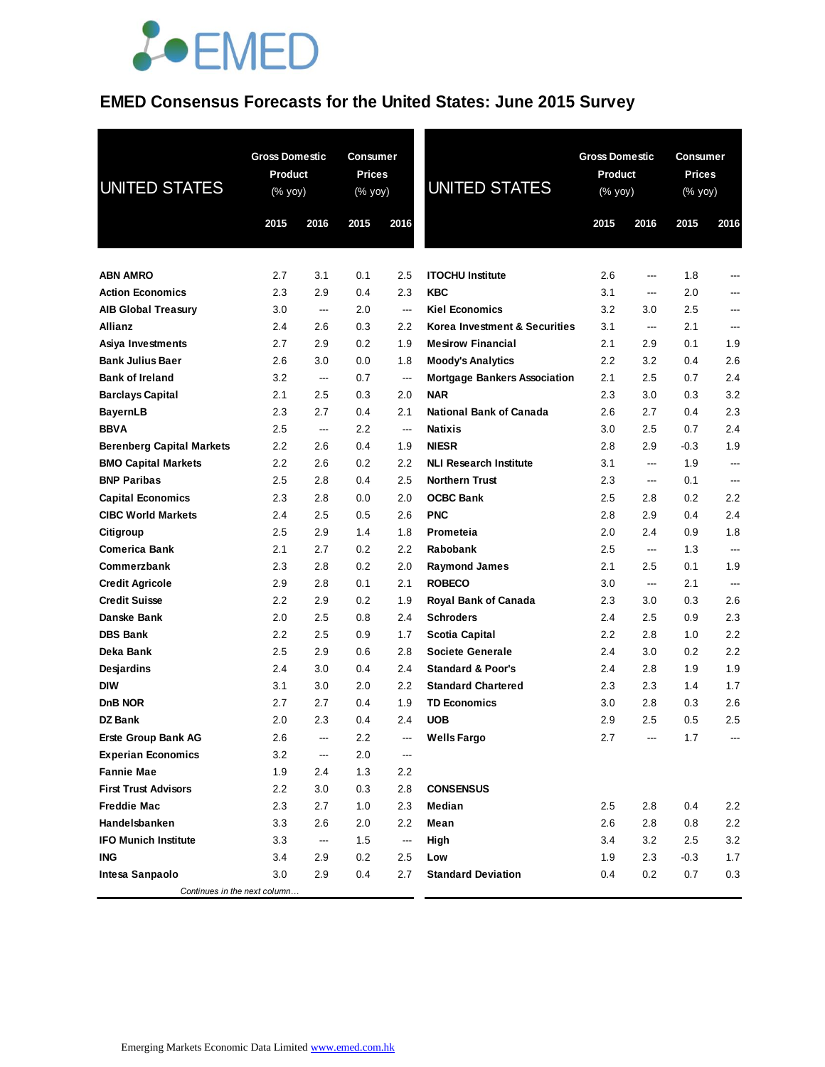# **JOEMED**

## **EMED Consensus Forecasts for the United States: June 2015 Survey**

| <b>UNITED STATES</b>             | <b>Gross Domestic</b><br><b>Product</b><br>$(% \mathsf{Y}^{\prime }\mathsf{Y}^{\prime })$ (% $\mathsf{Y}^{\prime }\mathsf{Y}^{\prime }\mathsf{Y}^{\prime })$ |      | <b>Consumer</b><br><b>Prices</b><br>(% yoy) |                          | <b>UNITED STATES</b>                | <b>Gross Domestic</b><br>Product<br>(% yoy) |      | Consumer<br><b>Prices</b><br>(% yoy) |         |
|----------------------------------|--------------------------------------------------------------------------------------------------------------------------------------------------------------|------|---------------------------------------------|--------------------------|-------------------------------------|---------------------------------------------|------|--------------------------------------|---------|
|                                  | 2015                                                                                                                                                         | 2016 | 2015                                        | 2016                     |                                     | 2015                                        | 2016 | 2015                                 | 2016    |
|                                  |                                                                                                                                                              |      |                                             |                          |                                     |                                             |      |                                      |         |
| <b>ABN AMRO</b>                  | 2.7                                                                                                                                                          | 3.1  | 0.1                                         | 2.5                      | <b>ITOCHU Institute</b>             | 2.6                                         | ---  | 1.8                                  |         |
| <b>Action Economics</b>          | 2.3                                                                                                                                                          | 2.9  | 0.4                                         | 2.3                      | <b>KBC</b>                          | 3.1                                         | ---  | 2.0                                  |         |
| <b>AIB Global Treasury</b>       | 3.0                                                                                                                                                          | ---  | 2.0                                         | $\overline{a}$           | <b>Kiel Economics</b>               | 3.2                                         | 3.0  | 2.5                                  | ---     |
| <b>Allianz</b>                   | 2.4                                                                                                                                                          | 2.6  | 0.3                                         | 2.2                      | Korea Investment & Securities       | 3.1                                         | ---  | 2.1                                  | ---     |
| Asiya Investments                | 2.7                                                                                                                                                          | 2.9  | 0.2                                         | 1.9                      | <b>Mesirow Financial</b>            | 2.1                                         | 2.9  | 0.1                                  | 1.9     |
| <b>Bank Julius Baer</b>          | 2.6                                                                                                                                                          | 3.0  | 0.0                                         | 1.8                      | <b>Moody's Analytics</b>            | 2.2                                         | 3.2  | 0.4                                  | 2.6     |
| <b>Bank of Ireland</b>           | 3.2                                                                                                                                                          | ---  | 0.7                                         | ---                      | <b>Mortgage Bankers Association</b> | 2.1                                         | 2.5  | 0.7                                  | 2.4     |
| <b>Barclays Capital</b>          | 2.1                                                                                                                                                          | 2.5  | 0.3                                         | 2.0                      | <b>NAR</b>                          | 2.3                                         | 3.0  | 0.3                                  | 3.2     |
| <b>BayernLB</b>                  | 2.3                                                                                                                                                          | 2.7  | 0.4                                         | 2.1                      | National Bank of Canada             | 2.6                                         | 2.7  | 0.4                                  | 2.3     |
| <b>BBVA</b>                      | 2.5                                                                                                                                                          | ---  | 2.2                                         | $\hspace{0.05cm} \ldots$ | <b>Natixis</b>                      | 3.0                                         | 2.5  | 0.7                                  | 2.4     |
| <b>Berenberg Capital Markets</b> | 2.2                                                                                                                                                          | 2.6  | 0.4                                         | 1.9                      | <b>NIESR</b>                        | 2.8                                         | 2.9  | $-0.3$                               | 1.9     |
| <b>BMO Capital Markets</b>       | 2.2                                                                                                                                                          | 2.6  | 0.2                                         | 2.2                      | <b>NLI Research Institute</b>       | 3.1                                         | ---  | 1.9                                  | ---     |
| <b>BNP Paribas</b>               | 2.5                                                                                                                                                          | 2.8  | 0.4                                         | 2.5                      | <b>Northern Trust</b>               | 2.3                                         | ---  | 0.1                                  | ---     |
| <b>Capital Economics</b>         | 2.3                                                                                                                                                          | 2.8  | 0.0                                         | 2.0                      | <b>OCBC Bank</b>                    | 2.5                                         | 2.8  | 0.2                                  | $2.2\,$ |
| <b>CIBC World Markets</b>        | 2.4                                                                                                                                                          | 2.5  | 0.5                                         | 2.6                      | <b>PNC</b>                          | 2.8                                         | 2.9  | 0.4                                  | 2.4     |
| Citigroup                        | 2.5                                                                                                                                                          | 2.9  | 1.4                                         | 1.8                      | Prometeia                           | 2.0                                         | 2.4  | 0.9                                  | 1.8     |
| <b>Comerica Bank</b>             | 2.1                                                                                                                                                          | 2.7  | 0.2                                         | 2.2                      | <b>Rabobank</b>                     | 2.5                                         | ---  | 1.3                                  | ---     |
| Commerzbank                      | 2.3                                                                                                                                                          | 2.8  | 0.2                                         | 2.0                      | <b>Raymond James</b>                | 2.1                                         | 2.5  | 0.1                                  | 1.9     |
| <b>Credit Agricole</b>           | 2.9                                                                                                                                                          | 2.8  | 0.1                                         | 2.1                      | <b>ROBECO</b>                       | 3.0                                         | ---  | 2.1                                  | ---     |
| <b>Credit Suisse</b>             | 2.2                                                                                                                                                          | 2.9  | 0.2                                         | 1.9                      | <b>Royal Bank of Canada</b>         | 2.3                                         | 3.0  | 0.3                                  | 2.6     |
| Danske Bank                      | 2.0                                                                                                                                                          | 2.5  | 0.8                                         | 2.4                      | <b>Schroders</b>                    | 2.4                                         | 2.5  | 0.9                                  | 2.3     |
| <b>DBS Bank</b>                  | 2.2                                                                                                                                                          | 2.5  | 0.9                                         | 1.7                      | Scotia Capital                      | 2.2                                         | 2.8  | 1.0                                  | 2.2     |
| Deka Bank                        | 2.5                                                                                                                                                          | 2.9  | 0.6                                         | 2.8                      | <b>Societe Generale</b>             | 2.4                                         | 3.0  | 0.2                                  | 2.2     |
| Desjardins                       | 2.4                                                                                                                                                          | 3.0  | 0.4                                         | 2.4                      | <b>Standard &amp; Poor's</b>        | 2.4                                         | 2.8  | 1.9                                  | 1.9     |
| <b>DIW</b>                       | 3.1                                                                                                                                                          | 3.0  | 2.0                                         | 2.2                      | <b>Standard Chartered</b>           | 2.3                                         | 2.3  | 1.4                                  | 1.7     |
| DnB NOR                          | 2.7                                                                                                                                                          | 2.7  | 0.4                                         | 1.9                      | <b>TD Economics</b>                 | 3.0                                         | 2.8  | 0.3                                  | 2.6     |
| <b>DZ Bank</b>                   | 2.0                                                                                                                                                          | 2.3  | 0.4                                         | 2.4                      | <b>UOB</b>                          | 2.9                                         | 2.5  | 0.5                                  | 2.5     |
| <b>Erste Group Bank AG</b>       | 2.6                                                                                                                                                          | ---  | 2.2                                         | ---                      | Wells Fargo                         | 2.7                                         |      | 1.7                                  |         |
| <b>Experian Economics</b>        | 3.2                                                                                                                                                          | ---  | 2.0                                         | ---                      |                                     |                                             |      |                                      |         |
| <b>Fannie Mae</b>                | 1.9                                                                                                                                                          | 2.4  | 1.3                                         | 2.2                      |                                     |                                             |      |                                      |         |
| <b>First Trust Advisors</b>      | 2.2                                                                                                                                                          | 3.0  | 0.3                                         | 2.8                      | <b>CONSENSUS</b>                    |                                             |      |                                      |         |
| <b>Freddie Mac</b>               | 2.3                                                                                                                                                          | 2.7  | 1.0                                         | 2.3                      | Median                              | 2.5                                         | 2.8  | 0.4                                  | 2.2     |
| Handelsbanken                    | 3.3                                                                                                                                                          | 2.6  | 2.0                                         | 2.2                      | Mean                                | 2.6                                         | 2.8  | 0.8                                  | 2.2     |
| <b>IFO Munich Institute</b>      | 3.3                                                                                                                                                          | ---  | 1.5                                         | ---                      | High                                | 3.4                                         | 3.2  | 2.5                                  | 3.2     |
| <b>ING</b>                       | 3.4                                                                                                                                                          | 2.9  | 0.2                                         | 2.5                      | Low                                 | 1.9                                         | 2.3  | $-0.3$                               | 1.7     |
| Intesa Sanpaolo                  | 3.0                                                                                                                                                          | 2.9  | 0.4                                         | 2.7                      | <b>Standard Deviation</b>           | 0.4                                         | 0.2  | 0.7                                  | 0.3     |
| Continues in the next column     |                                                                                                                                                              |      |                                             |                          |                                     |                                             |      |                                      |         |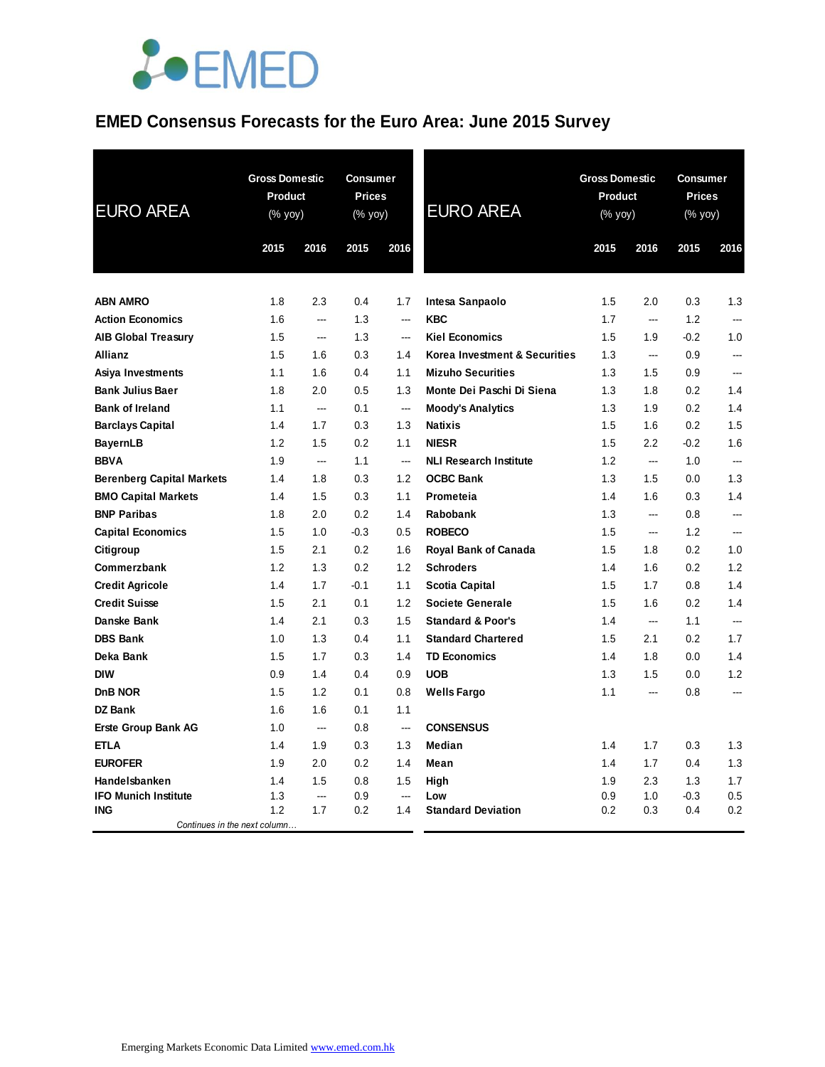

# **EMED Consensus Forecasts for the Euro Area: June 2015 Survey**

| <b>EURO AREA</b>                           | <b>Gross Domestic</b><br>Product<br>(% yoy) |      | <b>Consumer</b><br><b>Prices</b><br>(% yoy) |                          | <b>EURO AREA</b>              |      | <b>Gross Domestic</b><br><b>Product</b><br>(% yoy) |        | Consumer<br><b>Prices</b><br>(% yoy) |  |
|--------------------------------------------|---------------------------------------------|------|---------------------------------------------|--------------------------|-------------------------------|------|----------------------------------------------------|--------|--------------------------------------|--|
|                                            | 2015                                        | 2016 | 2015                                        | 2016                     |                               | 2015 | 2016                                               | 2015   | 2016                                 |  |
| <b>ABN AMRO</b>                            | 1.8                                         | 2.3  | 0.4                                         | 1.7                      | Intesa Sanpaolo               | 1.5  | 2.0                                                | 0.3    | 1.3                                  |  |
| <b>Action Economics</b>                    | 1.6                                         | ---  | 1.3                                         | $\frac{1}{2}$            | <b>KBC</b>                    | 1.7  | <u></u>                                            | 1.2    | <u></u>                              |  |
| <b>AIB Global Treasury</b>                 | 1.5                                         | ---  | 1.3                                         | $\overline{a}$           | <b>Kiel Economics</b>         | 1.5  | 1.9                                                | $-0.2$ | 1.0                                  |  |
| <b>Allianz</b>                             | 1.5                                         | 1.6  | 0.3                                         | 1.4                      | Korea Investment & Securities | 1.3  | $\overline{\phantom{a}}$                           | 0.9    | ---                                  |  |
| Asiya Investments                          | 1.1                                         | 1.6  | 0.4                                         | 1.1                      | <b>Mizuho Securities</b>      | 1.3  | 1.5                                                | 0.9    |                                      |  |
| <b>Bank Julius Baer</b>                    | 1.8                                         | 2.0  | 0.5                                         | 1.3                      | Monte Dei Paschi Di Siena     | 1.3  | 1.8                                                | 0.2    | 1.4                                  |  |
| <b>Bank of Ireland</b>                     | 1.1                                         | ---  | 0.1                                         | $\sim$                   | <b>Moody's Analytics</b>      | 1.3  | 1.9                                                | 0.2    | 1.4                                  |  |
| <b>Barclays Capital</b>                    | 1.4                                         | 1.7  | 0.3                                         | 1.3                      | <b>Natixis</b>                | 1.5  | 1.6                                                | 0.2    | 1.5                                  |  |
| <b>BayernLB</b>                            | 1.2                                         | 1.5  | 0.2                                         | 1.1                      | <b>NIESR</b>                  | 1.5  | 2.2                                                | $-0.2$ | 1.6                                  |  |
| <b>BBVA</b>                                | 1.9                                         | ---  | 1.1                                         | $\overline{\phantom{a}}$ | <b>NLI Research Institute</b> | 1.2  | $\sim$                                             | 1.0    | $\sim$                               |  |
| <b>Berenberg Capital Markets</b>           | 1.4                                         | 1.8  | 0.3                                         | 1.2                      | <b>OCBC Bank</b>              | 1.3  | 1.5                                                | 0.0    | 1.3                                  |  |
| <b>BMO Capital Markets</b>                 | 1.4                                         | 1.5  | 0.3                                         | 1.1                      | Prometeia                     | 1.4  | 1.6                                                | 0.3    | 1.4                                  |  |
| <b>BNP Paribas</b>                         | 1.8                                         | 2.0  | 0.2                                         | 1.4                      | Rabobank                      | 1.3  | --                                                 | 0.8    | ---                                  |  |
| <b>Capital Economics</b>                   | 1.5                                         | 1.0  | $-0.3$                                      | 0.5                      | <b>ROBECO</b>                 | 1.5  | $\sim$                                             | 1.2    | $\sim$                               |  |
| Citigroup                                  | 1.5                                         | 2.1  | 0.2                                         | 1.6                      | <b>Royal Bank of Canada</b>   | 1.5  | 1.8                                                | 0.2    | 1.0                                  |  |
| Commerzbank                                | 1.2                                         | 1.3  | 0.2                                         | 1.2                      | <b>Schroders</b>              | 1.4  | 1.6                                                | 0.2    | 1.2                                  |  |
| <b>Credit Agricole</b>                     | 1.4                                         | 1.7  | $-0.1$                                      | 1.1                      | <b>Scotia Capital</b>         | 1.5  | 1.7                                                | 0.8    | 1.4                                  |  |
| <b>Credit Suisse</b>                       | 1.5                                         | 2.1  | 0.1                                         | 1.2                      | <b>Societe Generale</b>       | 1.5  | 1.6                                                | 0.2    | 1.4                                  |  |
| Danske Bank                                | 1.4                                         | 2.1  | 0.3                                         | 1.5                      | <b>Standard &amp; Poor's</b>  | 1.4  | $\sim$                                             | 1.1    |                                      |  |
| <b>DBS Bank</b>                            | 1.0                                         | 1.3  | 0.4                                         | 1.1                      | <b>Standard Chartered</b>     | 1.5  | 2.1                                                | 0.2    | 1.7                                  |  |
| Deka Bank                                  | 1.5                                         | 1.7  | 0.3                                         | 1.4                      | <b>TD Economics</b>           | 1.4  | 1.8                                                | 0.0    | 1.4                                  |  |
| <b>DIW</b>                                 | 0.9                                         | 1.4  | 0.4                                         | 0.9                      | <b>UOB</b>                    | 1.3  | 1.5                                                | 0.0    | 1.2                                  |  |
| DnB NOR                                    | 1.5                                         | 1.2  | 0.1                                         | 0.8                      | <b>Wells Fargo</b>            | 1.1  | $\sim$                                             | 0.8    |                                      |  |
| DZ Bank                                    | 1.6                                         | 1.6  | 0.1                                         | 1.1                      |                               |      |                                                    |        |                                      |  |
| <b>Erste Group Bank AG</b>                 | 1.0                                         | ---  | 0.8                                         | $\overline{\phantom{a}}$ | <b>CONSENSUS</b>              |      |                                                    |        |                                      |  |
| <b>ETLA</b>                                | 1.4                                         | 1.9  | 0.3                                         | 1.3                      | Median                        | 1.4  | 1.7                                                | 0.3    | 1.3                                  |  |
| <b>EUROFER</b>                             | 1.9                                         | 2.0  | 0.2                                         | 1.4                      | Mean                          | 1.4  | 1.7                                                | 0.4    | 1.3                                  |  |
| Handelsbanken                              | 1.4                                         | 1.5  | 0.8                                         | 1.5                      | High                          | 1.9  | 2.3                                                | 1.3    | 1.7                                  |  |
| <b>IFO Munich Institute</b>                | 1.3                                         | ---  | 0.9                                         | $\frac{1}{2}$            | Low                           | 0.9  | 1.0                                                | $-0.3$ | 0.5                                  |  |
| <b>ING</b><br>Continues in the next column | 1.2                                         | 1.7  | 0.2                                         | 1.4                      | <b>Standard Deviation</b>     | 0.2  | 0.3                                                | 0.4    | 0.2                                  |  |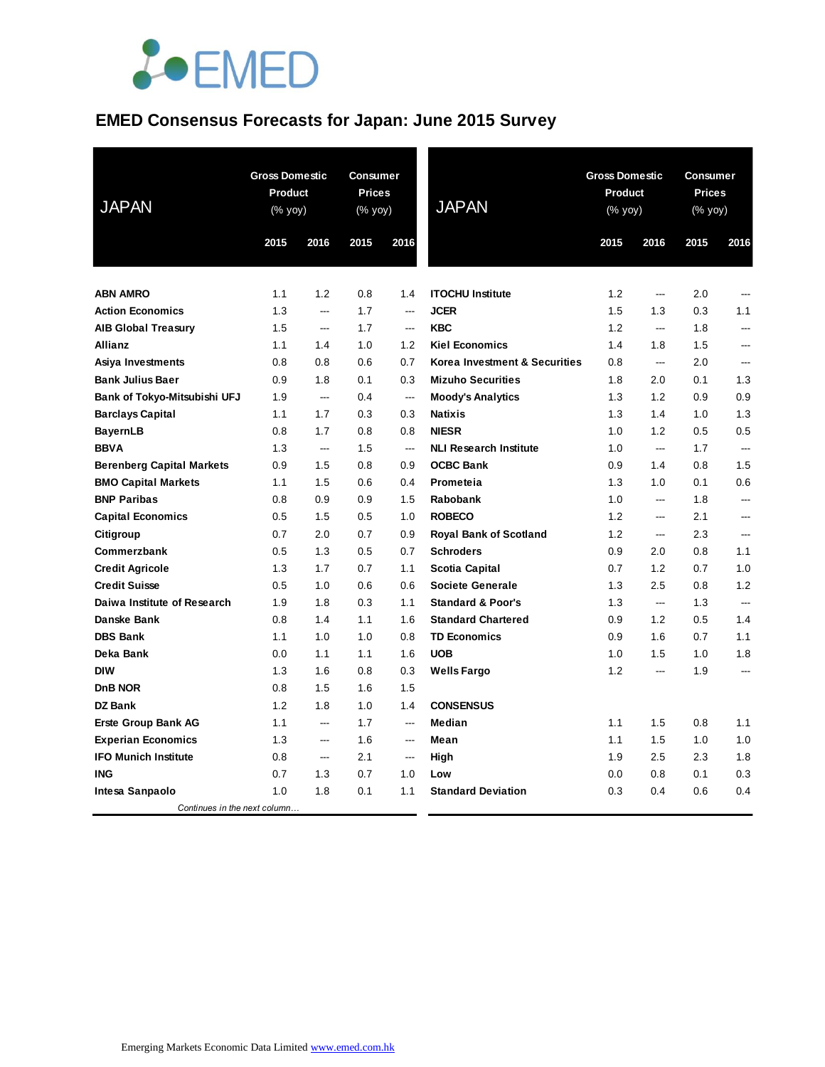

## **EMED Consensus Forecasts for Japan: June 2015 Survey**

| <b>JAPAN</b>                     |      | <b>Gross Domestic</b><br><b>Consumer</b><br><b>Product</b><br><b>Prices</b><br>$(% \mathsf{Y}^{\prime }\mathsf{Y}^{\prime })$ (% $\mathsf{Y}^{\prime }\mathsf{Y}^{\prime }\mathsf{Y}^{\prime })$<br>(% yoy) |      |                          | <b>JAPAN</b>                  | <b>Gross Domestic</b><br><b>Product</b><br>(% yoy) |                          | <b>Consumer</b><br><b>Prices</b><br>(% yoy) |                          |
|----------------------------------|------|-------------------------------------------------------------------------------------------------------------------------------------------------------------------------------------------------------------|------|--------------------------|-------------------------------|----------------------------------------------------|--------------------------|---------------------------------------------|--------------------------|
|                                  | 2015 | 2016                                                                                                                                                                                                        | 2015 | 2016                     |                               | 2015                                               | 2016                     | 2015                                        | 2016                     |
| <b>ABN AMRO</b>                  | 1.1  | 1.2                                                                                                                                                                                                         | 0.8  | 1.4                      | <b>ITOCHU Institute</b>       | 1.2                                                | ---                      | 2.0                                         | ---                      |
| <b>Action Economics</b>          | 1.3  | $\overline{a}$                                                                                                                                                                                              | 1.7  | ---                      | <b>JCER</b>                   | 1.5                                                | 1.3                      | 0.3                                         | 1.1                      |
| <b>AIB Global Treasury</b>       | 1.5  | $\overline{a}$                                                                                                                                                                                              | 1.7  | ---                      | <b>KBC</b>                    | 1.2                                                | $\overline{a}$           | 1.8                                         | ---                      |
| Allianz                          | 1.1  | 1.4                                                                                                                                                                                                         | 1.0  | 1.2                      | <b>Kiel Economics</b>         | 1.4                                                | 1.8                      | 1.5                                         |                          |
| Asiya Investments                | 0.8  | 0.8                                                                                                                                                                                                         | 0.6  | 0.7                      | Korea Investment & Securities | 0.8                                                | $\overline{\phantom{a}}$ | 2.0                                         | ---                      |
| <b>Bank Julius Baer</b>          | 0.9  | 1.8                                                                                                                                                                                                         | 0.1  | 0.3                      | <b>Mizuho Securities</b>      | 1.8                                                | 2.0                      | 0.1                                         | 1.3                      |
| Bank of Tokyo-Mitsubishi UFJ     | 1.9  | $\overline{a}$                                                                                                                                                                                              | 0.4  | ---                      | <b>Moody's Analytics</b>      | 1.3                                                | 1.2                      | 0.9                                         | 0.9                      |
| <b>Barclays Capital</b>          | 1.1  | 1.7                                                                                                                                                                                                         | 0.3  | 0.3                      | <b>Natixis</b>                | 1.3                                                | 1.4                      | 1.0                                         | 1.3                      |
| <b>BayernLB</b>                  | 0.8  | 1.7                                                                                                                                                                                                         | 0.8  | 0.8                      | <b>NIESR</b>                  | 1.0                                                | 1.2                      | 0.5                                         | 0.5                      |
| <b>BBVA</b>                      | 1.3  | $\qquad \qquad -\qquad$                                                                                                                                                                                     | 1.5  | ---                      | <b>NLI Research Institute</b> | 1.0                                                | ---                      | 1.7                                         | $\overline{a}$           |
| <b>Berenberg Capital Markets</b> | 0.9  | 1.5                                                                                                                                                                                                         | 0.8  | 0.9                      | <b>OCBC Bank</b>              | 0.9                                                | 1.4                      | 0.8                                         | 1.5                      |
| <b>BMO Capital Markets</b>       | 1.1  | 1.5                                                                                                                                                                                                         | 0.6  | 0.4                      | Prometeia                     | 1.3                                                | 1.0                      | 0.1                                         | 0.6                      |
| <b>BNP Paribas</b>               | 0.8  | 0.9                                                                                                                                                                                                         | 0.9  | 1.5                      | Rabobank                      | 1.0                                                | $\overline{a}$           | 1.8                                         | $\overline{a}$           |
| <b>Capital Economics</b>         | 0.5  | 1.5                                                                                                                                                                                                         | 0.5  | 1.0                      | <b>ROBECO</b>                 | 1.2                                                | $\overline{a}$           | 2.1                                         | ---                      |
| Citigroup                        | 0.7  | 2.0                                                                                                                                                                                                         | 0.7  | 0.9                      | <b>Royal Bank of Scotland</b> | 1.2                                                | $\overline{a}$           | 2.3                                         | ---                      |
| Commerzbank                      | 0.5  | 1.3                                                                                                                                                                                                         | 0.5  | 0.7                      | <b>Schroders</b>              | 0.9                                                | 2.0                      | 0.8                                         | 1.1                      |
| <b>Credit Agricole</b>           | 1.3  | 1.7                                                                                                                                                                                                         | 0.7  | 1.1                      | Scotia Capital                | 0.7                                                | 1.2                      | 0.7                                         | 1.0                      |
| <b>Credit Suisse</b>             | 0.5  | 1.0                                                                                                                                                                                                         | 0.6  | 0.6                      | Societe Generale              | 1.3                                                | 2.5                      | 0.8                                         | 1.2                      |
| Daiwa Institute of Research      | 1.9  | 1.8                                                                                                                                                                                                         | 0.3  | 1.1                      | <b>Standard &amp; Poor's</b>  | 1.3                                                | $\overline{\phantom{a}}$ | 1.3                                         | $\overline{a}$           |
| Danske Bank                      | 0.8  | 1.4                                                                                                                                                                                                         | 1.1  | 1.6                      | <b>Standard Chartered</b>     | 0.9                                                | 1.2                      | 0.5                                         | 1.4                      |
| <b>DBS Bank</b>                  | 1.1  | 1.0                                                                                                                                                                                                         | 1.0  | 0.8                      | <b>TD Economics</b>           | 0.9                                                | 1.6                      | 0.7                                         | 1.1                      |
| Deka Bank                        | 0.0  | 1.1                                                                                                                                                                                                         | 1.1  | 1.6                      | <b>UOB</b>                    | 1.0                                                | 1.5                      | 1.0                                         | 1.8                      |
| <b>DIW</b>                       | 1.3  | 1.6                                                                                                                                                                                                         | 0.8  | 0.3                      | <b>Wells Fargo</b>            | 1.2                                                | $\overline{a}$           | 1.9                                         | $\overline{\phantom{a}}$ |
| D <sub>n</sub> B NOR             | 0.8  | 1.5                                                                                                                                                                                                         | 1.6  | 1.5                      |                               |                                                    |                          |                                             |                          |
| <b>DZ Bank</b>                   | 1.2  | 1.8                                                                                                                                                                                                         | 1.0  | 1.4                      | <b>CONSENSUS</b>              |                                                    |                          |                                             |                          |
| <b>Erste Group Bank AG</b>       | 1.1  | $\overline{a}$                                                                                                                                                                                              | 1.7  | $\overline{a}$           | <b>Median</b>                 | 1.1                                                | 1.5                      | 0.8                                         | 1.1                      |
| <b>Experian Economics</b>        | 1.3  | $\overline{a}$                                                                                                                                                                                              | 1.6  | $\overline{a}$           | Mean                          | 1.1                                                | 1.5                      | 1.0                                         | 1.0                      |
| <b>IFO Munich Institute</b>      | 0.8  | $\hspace{0.05cm} \ldots$                                                                                                                                                                                    | 2.1  | $\hspace{0.05cm} \ldots$ | High                          | 1.9                                                | 2.5                      | 2.3                                         | 1.8                      |
| <b>ING</b>                       | 0.7  | 1.3                                                                                                                                                                                                         | 0.7  | 1.0                      | Low                           | 0.0                                                | 0.8                      | 0.1                                         | 0.3                      |
| Intesa Sanpaolo                  | 1.0  | 1.8                                                                                                                                                                                                         | 0.1  | 1.1                      | <b>Standard Deviation</b>     | 0.3                                                | 0.4                      | 0.6                                         | 0.4                      |
| Continues in the next column     |      |                                                                                                                                                                                                             |      |                          |                               |                                                    |                          |                                             |                          |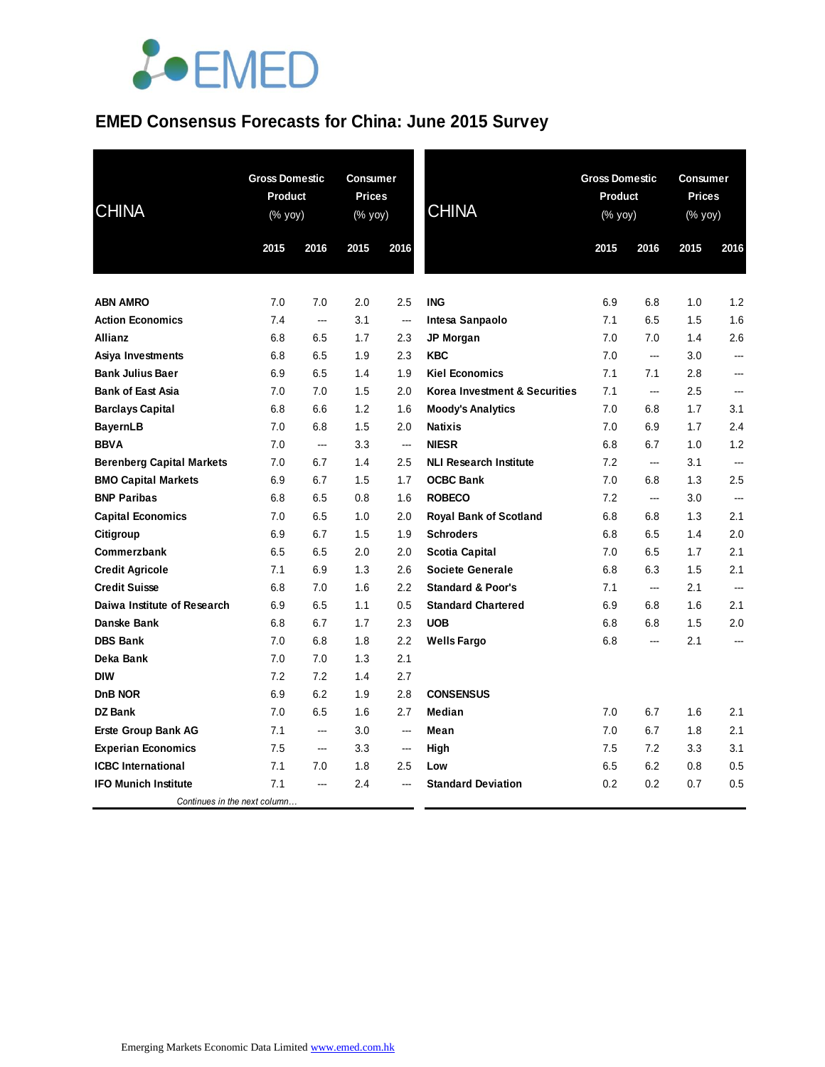

# **EMED Consensus Forecasts for China: June 2015 Survey**

| <b>CHINA</b>                     | 2015 | <b>Gross Domestic</b><br>Product<br>(% yoy) |      | <b>Consumer</b><br><b>Prices</b><br>(% yoy)<br>2016 | <b>CHINA</b>                  | <b>Gross Domestic</b><br><b>Product</b><br>(% yoy)<br>2015 | 2016                     | <b>Consumer</b><br><b>Prices</b><br>(% yoy)<br>2015 | 2016                     |
|----------------------------------|------|---------------------------------------------|------|-----------------------------------------------------|-------------------------------|------------------------------------------------------------|--------------------------|-----------------------------------------------------|--------------------------|
|                                  |      | 2016                                        | 2015 |                                                     |                               |                                                            |                          |                                                     |                          |
|                                  |      |                                             |      |                                                     |                               |                                                            |                          |                                                     |                          |
| <b>ABN AMRO</b>                  | 7.0  | 7.0                                         | 2.0  | 2.5                                                 | <b>ING</b>                    | 6.9                                                        | 6.8                      | 1.0                                                 | 1.2                      |
| <b>Action Economics</b>          | 7.4  | ---                                         | 3.1  | ---                                                 | Intesa Sanpaolo               | 7.1                                                        | 6.5                      | 1.5                                                 | 1.6                      |
| <b>Allianz</b>                   | 6.8  | 6.5                                         | 1.7  | 2.3                                                 | <b>JP Morgan</b>              | 7.0                                                        | 7.0                      | 1.4                                                 | 2.6                      |
| Asiya Investments                | 6.8  | 6.5                                         | 1.9  | 2.3                                                 | <b>KBC</b>                    | 7.0                                                        | $\overline{\phantom{a}}$ | 3.0                                                 | ---                      |
| <b>Bank Julius Baer</b>          | 6.9  | 6.5                                         | 1.4  | 1.9                                                 | <b>Kiel Economics</b>         | 7.1                                                        | 7.1                      | 2.8                                                 | ---                      |
| <b>Bank of East Asia</b>         | 7.0  | 7.0                                         | 1.5  | 2.0                                                 | Korea Investment & Securities | 7.1                                                        | ---                      | 2.5                                                 | $\overline{\phantom{a}}$ |
| <b>Barclays Capital</b>          | 6.8  | 6.6                                         | 1.2  | 1.6                                                 | <b>Moody's Analytics</b>      | 7.0                                                        | 6.8                      | 1.7                                                 | 3.1                      |
| <b>BayernLB</b>                  | 7.0  | 6.8                                         | 1.5  | 2.0                                                 | <b>Natixis</b>                | 7.0                                                        | 6.9                      | 1.7                                                 | 2.4                      |
| <b>BBVA</b>                      | 7.0  | ---                                         | 3.3  | ---                                                 | <b>NIESR</b>                  | 6.8                                                        | 6.7                      | 1.0                                                 | 1.2                      |
| <b>Berenberg Capital Markets</b> | 7.0  | 6.7                                         | 1.4  | 2.5                                                 | <b>NLI Research Institute</b> | 7.2                                                        | ---                      | 3.1                                                 | ---                      |
| <b>BMO Capital Markets</b>       | 6.9  | 6.7                                         | 1.5  | 1.7                                                 | <b>OCBC Bank</b>              | 7.0                                                        | 6.8                      | 1.3                                                 | 2.5                      |
| <b>BNP Paribas</b>               | 6.8  | 6.5                                         | 0.8  | 1.6                                                 | <b>ROBECO</b>                 | 7.2                                                        | ---                      | 3.0                                                 | ---                      |
| <b>Capital Economics</b>         | 7.0  | 6.5                                         | 1.0  | 2.0                                                 | Royal Bank of Scotland        | 6.8                                                        | 6.8                      | 1.3                                                 | 2.1                      |
| Citigroup                        | 6.9  | 6.7                                         | 1.5  | 1.9                                                 | <b>Schroders</b>              | 6.8                                                        | 6.5                      | 1.4                                                 | 2.0                      |
| Commerzbank                      | 6.5  | 6.5                                         | 2.0  | 2.0                                                 | <b>Scotia Capital</b>         | 7.0                                                        | 6.5                      | 1.7                                                 | 2.1                      |
| <b>Credit Agricole</b>           | 7.1  | 6.9                                         | 1.3  | 2.6                                                 | <b>Societe Generale</b>       | 6.8                                                        | 6.3                      | $1.5\,$                                             | 2.1                      |
| <b>Credit Suisse</b>             | 6.8  | 7.0                                         | 1.6  | 2.2                                                 | <b>Standard &amp; Poor's</b>  | 7.1                                                        | ---                      | 2.1                                                 | $\overline{a}$           |
| Daiwa Institute of Research      | 6.9  | 6.5                                         | 1.1  | 0.5                                                 | <b>Standard Chartered</b>     | 6.9                                                        | 6.8                      | 1.6                                                 | 2.1                      |
| Danske Bank                      | 6.8  | 6.7                                         | 1.7  | 2.3                                                 | <b>UOB</b>                    | 6.8                                                        | 6.8                      | 1.5                                                 | 2.0                      |
| <b>DBS Bank</b>                  | 7.0  | 6.8                                         | 1.8  | 2.2                                                 | <b>Wells Fargo</b>            | 6.8                                                        | ---                      | 2.1                                                 | ---                      |
| Deka Bank                        | 7.0  | 7.0                                         | 1.3  | 2.1                                                 |                               |                                                            |                          |                                                     |                          |
| <b>DIW</b>                       | 7.2  | 7.2                                         | 1.4  | 2.7                                                 |                               |                                                            |                          |                                                     |                          |
| DnB NOR                          | 6.9  | 6.2                                         | 1.9  | 2.8                                                 | <b>CONSENSUS</b>              |                                                            |                          |                                                     |                          |
| DZ Bank                          | 7.0  | 6.5                                         | 1.6  | 2.7                                                 | Median                        | 7.0                                                        | 6.7                      | 1.6                                                 | 2.1                      |
| <b>Erste Group Bank AG</b>       | 7.1  | ---                                         | 3.0  | ---                                                 | Mean                          | 7.0                                                        | 6.7                      | 1.8                                                 | 2.1                      |
| <b>Experian Economics</b>        | 7.5  | ---                                         | 3.3  | $\sim$                                              | High                          | 7.5                                                        | 7.2                      | 3.3                                                 | 3.1                      |
| <b>ICBC</b> International        | 7.1  | 7.0                                         | 1.8  | 2.5                                                 | Low                           | 6.5                                                        | 6.2                      | 0.8                                                 | 0.5                      |
| <b>IFO Munich Institute</b>      | 7.1  | ---                                         | 2.4  |                                                     | <b>Standard Deviation</b>     | 0.2                                                        | 0.2                      | 0.7                                                 | 0.5                      |
| Continues in the next column     |      |                                             |      |                                                     |                               |                                                            |                          |                                                     |                          |